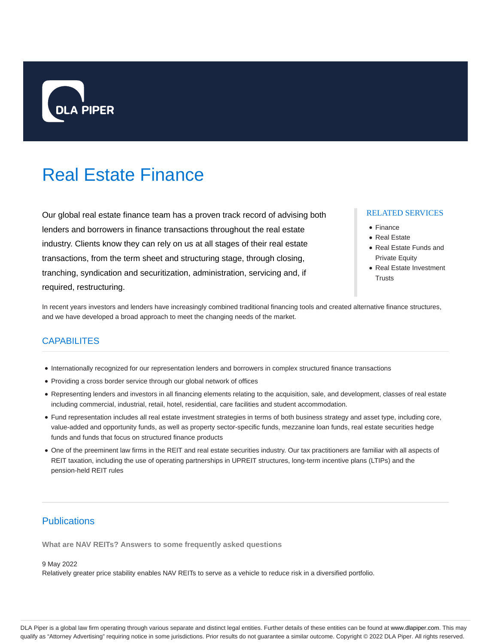

# Real Estate Finance

Our global real estate finance team has a proven track record of advising both lenders and borrowers in finance transactions throughout the real estate industry. Clients know they can rely on us at all stages of their real estate transactions, from the term sheet and structuring stage, through closing, tranching, syndication and securitization, administration, servicing and, if required, restructuring.

## RELATED SERVICES

- Finance
- Real Estate
- Real Estate Funds and Private Equity
- Real Estate Investment **Trusts**

In recent years investors and lenders have increasingly combined traditional financing tools and created alternative finance structures, and we have developed a broad approach to meet the changing needs of the market.

## **CAPABILITES**

- Internationally recognized for our representation lenders and borrowers in complex structured finance transactions
- Providing a cross border service through our global network of offices
- Representing lenders and investors in all financing elements relating to the acquisition, sale, and development, classes of real estate including commercial, industrial, retail, hotel, residential, care facilities and student accommodation.
- Fund representation includes all real estate investment strategies in terms of both business strategy and asset type, including core, value-added and opportunity funds, as well as property sector-specific funds, mezzanine loan funds, real estate securities hedge funds and funds that focus on structured finance products
- One of the preeminent law firms in the REIT and real estate securities industry. Our tax practitioners are familiar with all aspects of REIT taxation, including the use of operating partnerships in UPREIT structures, long-term incentive plans (LTIPs) and the pension-held REIT rules

# **Publications**

**What are NAV REITs? Answers to some frequently asked questions**

#### 9 May 2022

Relatively greater price stability enables NAV REITs to serve as a vehicle to reduce risk in a diversified portfolio.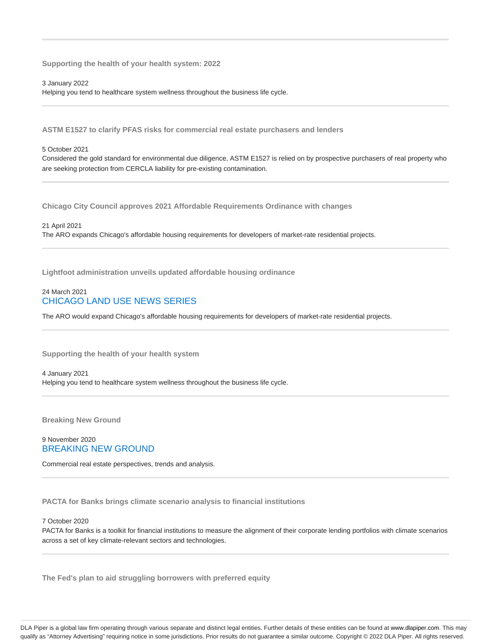**Supporting the health of your health system: 2022**

3 January 2022 Helping you tend to healthcare system wellness throughout the business life cycle.

**ASTM E1527 to clarify PFAS risks for commercial real estate purchasers and lenders**

## 5 October 2021

Considered the gold standard for environmental due diligence, ASTM E1527 is relied on by prospective purchasers of real property who are seeking protection from CERCLA liability for pre-existing contamination.

**Chicago City Council approves 2021 Affordable Requirements Ordinance with changes**

21 April 2021 The ARO expands Chicago's affordable housing requirements for developers of market-rate residential projects.

**Lightfoot administration unveils updated affordable housing ordinance**

## 24 March 2021 CHICAGO LAND USE NEWS SERIES

The ARO would expand Chicago's affordable housing requirements for developers of market-rate residential projects.

**Supporting the health of your health system**

4 January 2021 Helping you tend to healthcare system wellness throughout the business life cycle.

**Breaking New Ground**

## 9 November 2020 BREAKING NEW GROUND

Commercial real estate perspectives, trends and analysis.

**PACTA for Banks brings climate scenario analysis to financial institutions**

#### 7 October 2020

PACTA for Banks is a toolkit for financial institutions to measure the alignment of their corporate lending portfolios with climate scenarios across a set of key climate-relevant sectors and technologies.

**The Fed's plan to aid struggling borrowers with preferred equity**

DLA Piper is a global law firm operating through various separate and distinct legal entities. Further details of these entities can be found at www.dlapiper.com. This may qualify as "Attorney Advertising" requiring notice in some jurisdictions. Prior results do not guarantee a similar outcome. Copyright @ 2022 DLA Piper. All rights reserved.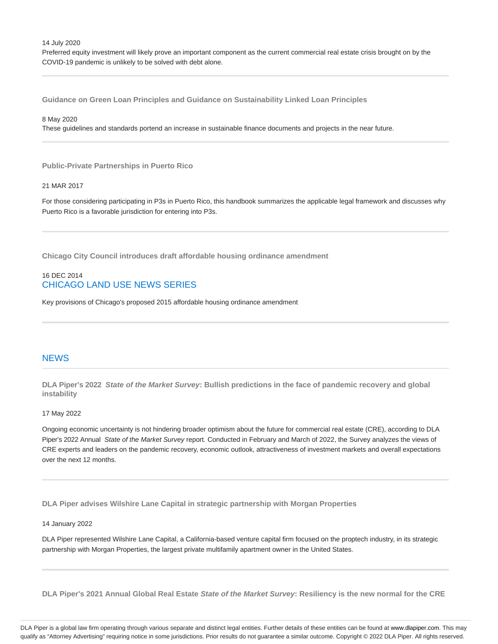14 July 2020

Preferred equity investment will likely prove an important component as the current commercial real estate crisis brought on by the COVID-19 pandemic is unlikely to be solved with debt alone.

**Guidance on Green Loan Principles and Guidance on Sustainability Linked Loan Principles**

8 May 2020

These guidelines and standards portend an increase in sustainable finance documents and projects in the near future.

**Public-Private Partnerships in Puerto Rico**

## 21 MAR 2017

For those considering participating in P3s in Puerto Rico, this handbook summarizes the applicable legal framework and discusses why Puerto Rico is a favorable jurisdiction for entering into P3s.

**Chicago City Council introduces draft affordable housing ordinance amendment**

## 16 DEC 2014 CHICAGO LAND USE NEWS SERIES

Key provisions of Chicago's proposed 2015 affordable housing ordinance amendment

## **NEWS**

**DLA Piper's 2022 State of the Market Survey: Bullish predictions in the face of pandemic recovery and global instability**

#### 17 May 2022

Ongoing economic uncertainty is not hindering broader optimism about the future for commercial real estate (CRE), according to DLA Piper's 2022 Annual State of the Market Survey report. Conducted in February and March of 2022, the Survey analyzes the views of CRE experts and leaders on the pandemic recovery, economic outlook, attractiveness of investment markets and overall expectations over the next 12 months.

**DLA Piper advises Wilshire Lane Capital in strategic partnership with Morgan Properties**

#### 14 January 2022

DLA Piper represented Wilshire Lane Capital, a California-based venture capital firm focused on the proptech industry, in its strategic partnership with Morgan Properties, the largest private multifamily apartment owner in the United States.

**DLA Piper's 2021 Annual Global Real Estate State of the Market Survey: Resiliency is the new normal for the CRE**

DLA Piper is a global law firm operating through various separate and distinct legal entities. Further details of these entities can be found at www.dlapiper.com. This may qualify as "Attorney Advertising" requiring notice in some jurisdictions. Prior results do not guarantee a similar outcome. Copyright @ 2022 DLA Piper. All rights reserved.